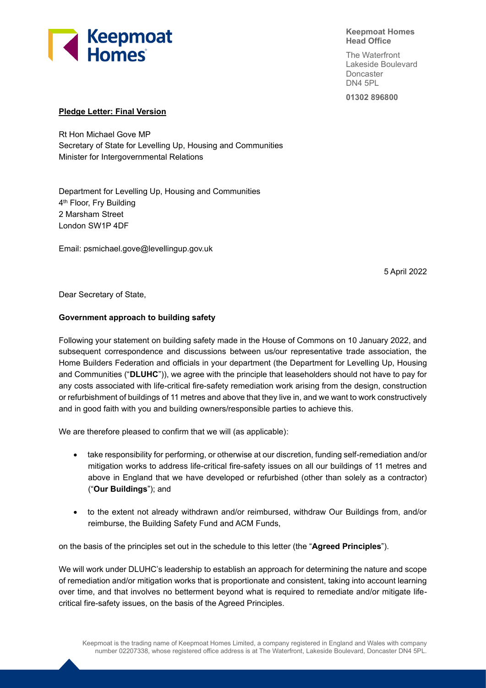

#### **Keepmoat Homes Head Office**

The Waterfront Lakeside Boulevard **Doncaster** DN4 5PL

**01302 896800**

## **Pledge Letter: Final Version**

Rt Hon Michael Gove MP Secretary of State for Levelling Up, Housing and Communities Minister for Intergovernmental Relations

Department for Levelling Up, Housing and Communities 4<sup>th</sup> Floor, Fry Building 2 Marsham Street London SW1P 4DF

Email: psmichael.gove@levellingup.gov.uk

5 April 2022

Dear Secretary of State,

# **Government approach to building safety**

Following your statement on building safety made in the House of Commons on 10 January 2022, and subsequent correspondence and discussions between us/our representative trade association, the Home Builders Federation and officials in your department (the Department for Levelling Up, Housing and Communities ("**DLUHC**")), we agree with the principle that leaseholders should not have to pay for any costs associated with life-critical fire-safety remediation work arising from the design, construction or refurbishment of buildings of 11 metres and above that they live in, and we want to work constructively and in good faith with you and building owners/responsible parties to achieve this.

We are therefore pleased to confirm that we will (as applicable):

- take responsibility for performing, or otherwise at our discretion, funding self-remediation and/or mitigation works to address life-critical fire-safety issues on all our buildings of 11 metres and above in England that we have developed or refurbished (other than solely as a contractor) ("**Our Buildings**"); and
- to the extent not already withdrawn and/or reimbursed, withdraw Our Buildings from, and/or reimburse, the Building Safety Fund and ACM Funds,

on the basis of the principles set out in the schedule to this letter (the "**Agreed Principles**").

We will work under DLUHC's leadership to establish an approach for determining the nature and scope of remediation and/or mitigation works that is proportionate and consistent, taking into account learning over time, and that involves no betterment beyond what is required to remediate and/or mitigate lifecritical fire-safety issues, on the basis of the Agreed Principles.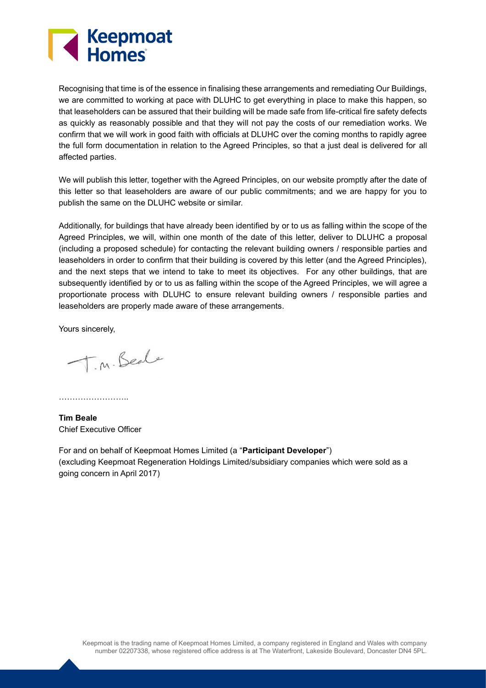

Recognising that time is of the essence in finalising these arrangements and remediating Our Buildings, we are committed to working at pace with DLUHC to get everything in place to make this happen, so that leaseholders can be assured that their building will be made safe from life-critical fire safety defects as quickly as reasonably possible and that they will not pay the costs of our remediation works. We confirm that we will work in good faith with officials at DLUHC over the coming months to rapidly agree the full form documentation in relation to the Agreed Principles, so that a just deal is delivered for all affected parties.

We will publish this letter, together with the Agreed Principles, on our website promptly after the date of this letter so that leaseholders are aware of our public commitments; and we are happy for you to publish the same on the DLUHC website or similar.

Additionally, for buildings that have already been identified by or to us as falling within the scope of the Agreed Principles, we will, within one month of the date of this letter, deliver to DLUHC a proposal (including a proposed schedule) for contacting the relevant building owners / responsible parties and leaseholders in order to confirm that their building is covered by this letter (and the Agreed Principles), and the next steps that we intend to take to meet its objectives. For any other buildings, that are subsequently identified by or to us as falling within the scope of the Agreed Principles, we will agree a proportionate process with DLUHC to ensure relevant building owners / responsible parties and leaseholders are properly made aware of these arrangements.

Yours sincerely,

T.M. Beale

……………………..

**Tim Beale** Chief Executive Officer

For and on behalf of Keepmoat Homes Limited (a "**Participant Developer**") (excluding Keepmoat Regeneration Holdings Limited/subsidiary companies which were sold as a going concern in April 2017)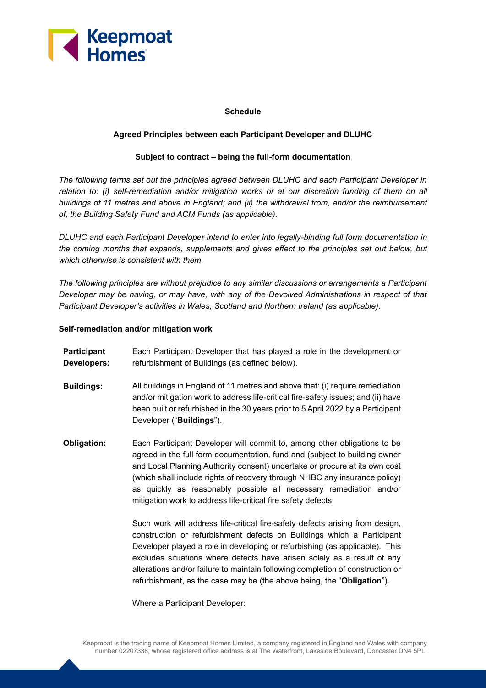

## **Schedule**

## **Agreed Principles between each Participant Developer and DLUHC**

## **Subject to contract – being the full-form documentation**

*The following terms set out the principles agreed between DLUHC and each Participant Developer in relation to: (i) self-remediation and/or mitigation works or at our discretion funding of them on all buildings of 11 metres and above in England; and (ii) the withdrawal from, and/or the reimbursement of, the Building Safety Fund and ACM Funds (as applicable).* 

*DLUHC and each Participant Developer intend to enter into legally-binding full form documentation in the coming months that expands, supplements and gives effect to the principles set out below, but which otherwise is consistent with them.*

*The following principles are without prejudice to any similar discussions or arrangements a Participant Developer may be having, or may have, with any of the Devolved Administrations in respect of that Participant Developer's activities in Wales, Scotland and Northern Ireland (as applicable).* 

#### **Self-remediation and/or mitigation work**

- **Participant Developers:** Each Participant Developer that has played a role in the development or refurbishment of Buildings (as defined below).
- **Buildings:** All buildings in England of 11 metres and above that: (i) require remediation and/or mitigation work to address life-critical fire-safety issues; and (ii) have been built or refurbished in the 30 years prior to 5 April 2022 by a Participant Developer ("**Buildings**").
- **Obligation:** Each Participant Developer will commit to, among other obligations to be agreed in the full form documentation, fund and (subject to building owner and Local Planning Authority consent) undertake or procure at its own cost (which shall include rights of recovery through NHBC any insurance policy) as quickly as reasonably possible all necessary remediation and/or mitigation work to address life-critical fire safety defects.

Such work will address life-critical fire-safety defects arising from design, construction or refurbishment defects on Buildings which a Participant Developer played a role in developing or refurbishing (as applicable). This excludes situations where defects have arisen solely as a result of any alterations and/or failure to maintain following completion of construction or refurbishment, as the case may be (the above being, the "**Obligation**").

Where a Participant Developer: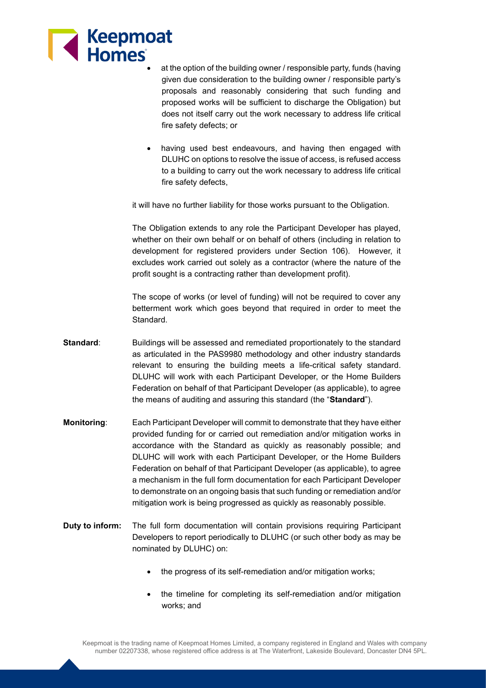

- at the option of the building owner / responsible party, funds (having given due consideration to the building owner / responsible party's proposals and reasonably considering that such funding and proposed works will be sufficient to discharge the Obligation) but does not itself carry out the work necessary to address life critical fire safety defects; or
- having used best endeavours, and having then engaged with DLUHC on options to resolve the issue of access, is refused access to a building to carry out the work necessary to address life critical fire safety defects,

it will have no further liability for those works pursuant to the Obligation.

The Obligation extends to any role the Participant Developer has played, whether on their own behalf or on behalf of others (including in relation to development for registered providers under Section 106). However, it excludes work carried out solely as a contractor (where the nature of the profit sought is a contracting rather than development profit).

The scope of works (or level of funding) will not be required to cover any betterment work which goes beyond that required in order to meet the Standard.

- **Standard**: Buildings will be assessed and remediated proportionately to the standard as articulated in the PAS9980 methodology and other industry standards relevant to ensuring the building meets a life-critical safety standard. DLUHC will work with each Participant Developer, or the Home Builders Federation on behalf of that Participant Developer (as applicable), to agree the means of auditing and assuring this standard (the "**Standard**").
- **Monitoring**: Each Participant Developer will commit to demonstrate that they have either provided funding for or carried out remediation and/or mitigation works in accordance with the Standard as quickly as reasonably possible; and DLUHC will work with each Participant Developer, or the Home Builders Federation on behalf of that Participant Developer (as applicable), to agree a mechanism in the full form documentation for each Participant Developer to demonstrate on an ongoing basis that such funding or remediation and/or mitigation work is being progressed as quickly as reasonably possible.
- **Duty to inform:** The full form documentation will contain provisions requiring Participant Developers to report periodically to DLUHC (or such other body as may be nominated by DLUHC) on:
	- the progress of its self-remediation and/or mitigation works:
	- the timeline for completing its self-remediation and/or mitigation works; and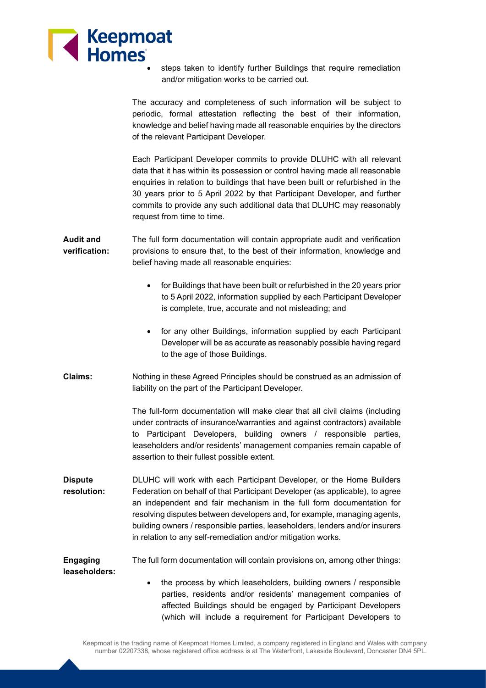

steps taken to identify further Buildings that require remediation and/or mitigation works to be carried out.

The accuracy and completeness of such information will be subject to periodic, formal attestation reflecting the best of their information, knowledge and belief having made all reasonable enquiries by the directors of the relevant Participant Developer.

Each Participant Developer commits to provide DLUHC with all relevant data that it has within its possession or control having made all reasonable enquiries in relation to buildings that have been built or refurbished in the 30 years prior to 5 April 2022 by that Participant Developer, and further commits to provide any such additional data that DLUHC may reasonably request from time to time.

- **Audit and verification:** The full form documentation will contain appropriate audit and verification provisions to ensure that, to the best of their information, knowledge and belief having made all reasonable enquiries:
	- for Buildings that have been built or refurbished in the 20 years prior to 5 April 2022, information supplied by each Participant Developer is complete, true, accurate and not misleading; and
	- for any other Buildings, information supplied by each Participant Developer will be as accurate as reasonably possible having regard to the age of those Buildings.
- **Claims:** Nothing in these Agreed Principles should be construed as an admission of liability on the part of the Participant Developer.

The full-form documentation will make clear that all civil claims (including under contracts of insurance/warranties and against contractors) available to Participant Developers, building owners / responsible parties, leaseholders and/or residents' management companies remain capable of assertion to their fullest possible extent.

**Dispute resolution:** DLUHC will work with each Participant Developer, or the Home Builders Federation on behalf of that Participant Developer (as applicable), to agree an independent and fair mechanism in the full form documentation for resolving disputes between developers and, for example, managing agents, building owners / responsible parties, leaseholders, lenders and/or insurers in relation to any self-remediation and/or mitigation works.

**Engaging leaseholders:** The full form documentation will contain provisions on, among other things:

> the process by which leaseholders, building owners / responsible parties, residents and/or residents' management companies of affected Buildings should be engaged by Participant Developers (which will include a requirement for Participant Developers to